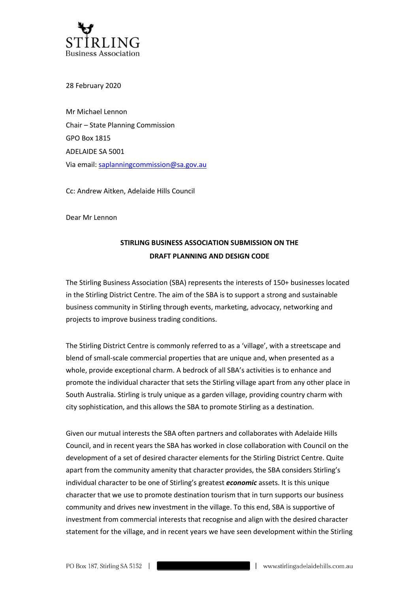

28 February 2020

Mr Michael Lennon Chair – State Planning Commission GPO Box 1815 ADELAIDE SA 5001 Via email: [saplanningcommission@sa.gov.au](mailto:saplanningcommission@sa.gov.au)

Cc: Andrew Aitken, Adelaide Hills Council

Dear Mr Lennon

## **STIRLING BUSINESS ASSOCIATION SUBMISSION ON THE DRAFT PLANNING AND DESIGN CODE**

The Stirling Business Association (SBA) represents the interests of 150+ businesses located in the Stirling District Centre. The aim of the SBA is to support a strong and sustainable business community in Stirling through events, marketing, advocacy, networking and projects to improve business trading conditions.

The Stirling District Centre is commonly referred to as a 'village', with a streetscape and blend of small-scale commercial properties that are unique and, when presented as a whole, provide exceptional charm. A bedrock of all SBA's activities is to enhance and promote the individual character that sets the Stirling village apart from any other place in South Australia. Stirling is truly unique as a garden village, providing country charm with city sophistication, and this allows the SBA to promote Stirling as a destination.

Given our mutual interests the SBA often partners and collaborates with Adelaide Hills Council, and in recent years the SBA has worked in close collaboration with Council on the development of a set of desired character elements for the Stirling District Centre. Quite apart from the community amenity that character provides, the SBA considers Stirling's individual character to be one of Stirling's greatest *economic* assets. It is this unique character that we use to promote destination tourism that in turn supports our business community and drives new investment in the village. To this end, SBA is supportive of investment from commercial interests that recognise and align with the desired character statement for the village, and in recent years we have seen development within the Stirling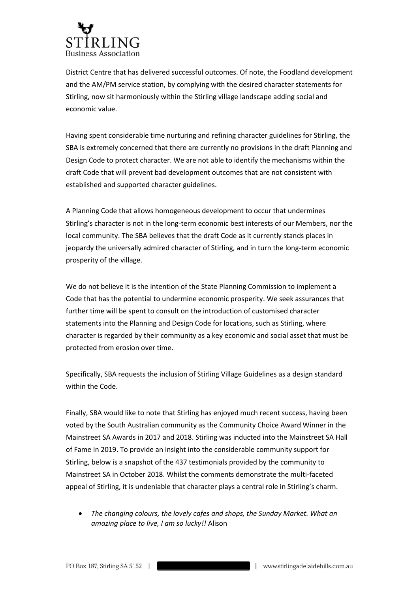

District Centre that has delivered successful outcomes. Of note, the Foodland development and the AM/PM service station, by complying with the desired character statements for Stirling, now sit harmoniously within the Stirling village landscape adding social and economic value.

Having spent considerable time nurturing and refining character guidelines for Stirling, the SBA is extremely concerned that there are currently no provisions in the draft Planning and Design Code to protect character. We are not able to identify the mechanisms within the draft Code that will prevent bad development outcomes that are not consistent with established and supported character guidelines.

A Planning Code that allows homogeneous development to occur that undermines Stirling's character is not in the long-term economic best interests of our Members, nor the local community. The SBA believes that the draft Code as it currently stands places in jeopardy the universally admired character of Stirling, and in turn the long-term economic prosperity of the village.

We do not believe it is the intention of the State Planning Commission to implement a Code that has the potential to undermine economic prosperity. We seek assurances that further time will be spent to consult on the introduction of customised character statements into the Planning and Design Code for locations, such as Stirling, where character is regarded by their community as a key economic and social asset that must be protected from erosion over time.

Specifically, SBA requests the inclusion of Stirling Village Guidelines as a design standard within the Code.

Finally, SBA would like to note that Stirling has enjoyed much recent success, having been voted by the South Australian community as the Community Choice Award Winner in the Mainstreet SA Awards in 2017 and 2018. Stirling was inducted into the Mainstreet SA Hall of Fame in 2019. To provide an insight into the considerable community support for Stirling, below is a snapshot of the 437 testimonials provided by the community to Mainstreet SA in October 2018. Whilst the comments demonstrate the multi-faceted appeal of Stirling, it is undeniable that character plays a central role in Stirling's charm.

• *The changing colours, the lovely cafes and shops, the Sunday Market. What an amazing place to live, I am so lucky!!* Alison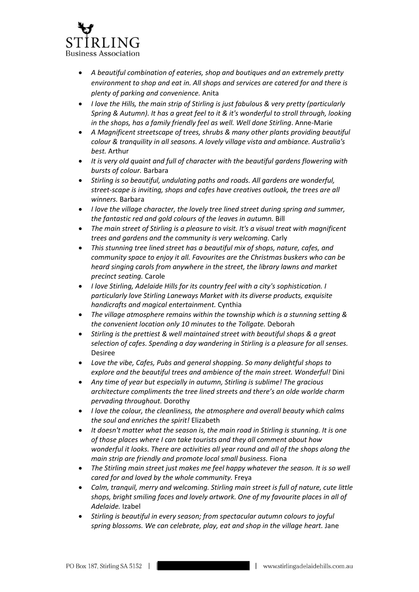

- *A beautiful combination of eateries, shop and boutiques and an extremely pretty environment to shop and eat in. All shops and services are catered for and there is plenty of parking and convenience.* Anita
- *I love the Hills, the main strip of Stirling is just fabulous & very pretty (particularly Spring & Autumn). It has a great feel to it & it's wonderful to stroll through, looking in the shops, has a family friendly feel as well. Well done Stirling*. Anne-Marie
- *A Magnificent streetscape of trees, shrubs & many other plants providing beautiful colour & tranquility in all seasons. A lovely village vista and ambiance. Australia's best.* Arthur
- *It is very old quaint and full of character with the beautiful gardens flowering with bursts of colour.* Barbara
- *Stirling is so beautiful, undulating paths and roads. All gardens are wonderful, street-scape is inviting, shops and cafes have creatives outlook, the trees are all winners.* Barbara
- *I love the village character, the lovely tree lined street during spring and summer, the fantastic red and gold colours of the leaves in autumn.* Bill
- *The main street of Stirling is a pleasure to visit. It's a visual treat with magnificent trees and gardens and the community is very welcoming.* Carly
- *This stunning tree lined street has a beautiful mix of shops, nature, cafes, and community space to enjoy it all. Favourites are the Christmas buskers who can be heard singing carols from anywhere in the street, the library lawns and market precinct seating.* Carole
- *I love Stirling, Adelaide Hills for its country feel with a city's sophistication. I particularly love Stirling Laneways Market with its diverse products, exquisite handicrafts and magical entertainment.* Cynthia
- *The village atmosphere remains within the township which is a stunning setting & the convenient location only 10 minutes to the Tollgate.* Deborah
- *Stirling is the prettiest & well maintained street with beautiful shops & a great selection of cafes. Spending a day wandering in Stirling is a pleasure for all senses.* Desiree
- *Love the vibe, Cafes, Pubs and general shopping. So many delightful shops to explore and the beautiful trees and ambience of the main street. Wonderful!* Dini
- *Any time of year but especially in autumn, Stirling is sublime! The gracious architecture compliments the tree lined streets and there's an olde worlde charm pervading throughout.* Dorothy
- *I love the colour, the cleanliness, the atmosphere and overall beauty which calms the soul and enriches the spirit!* Elizabeth
- *It doesn't matter what the season is, the main road in Stirling is stunning. It is one of those places where I can take tourists and they all comment about how wonderful it looks. There are activities all year round and all of the shops along the main strip are friendly and promote local small business.* Fiona
- *The Stirling main street just makes me feel happy whatever the season. It is so well cared for and loved by the whole community.* Freya
- *Calm, tranquil, merry and welcoming. Stirling main street is full of nature, cute little shops, bright smiling faces and lovely artwork. One of my favourite places in all of Adelaide.* Izabel
- *Stirling is beautiful in every season; from spectacular autumn colours to joyful spring blossoms. We can celebrate, play, eat and shop in the village heart.* Jane